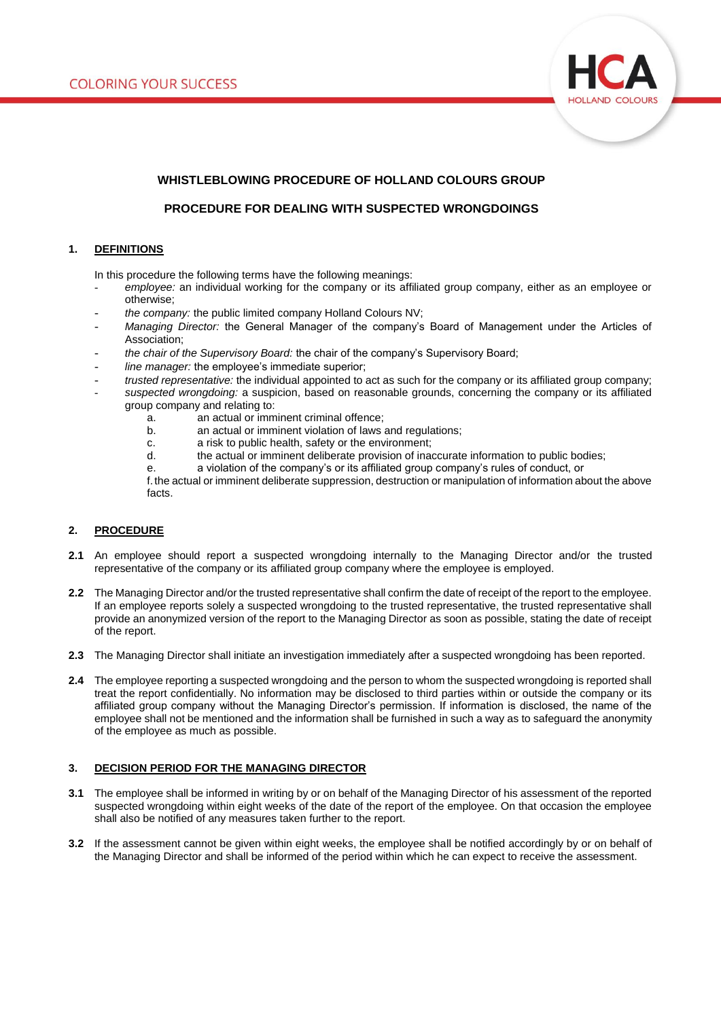

# **WHISTLEBLOWING PROCEDURE OF HOLLAND COLOURS GROUP**

# **PROCEDURE FOR DEALING WITH SUSPECTED WRONGDOINGS**

# **1. DEFINITIONS**

In this procedure the following terms have the following meanings:

- employee: an individual working for the company or its affiliated group company, either as an employee or otherwise;
- *the company:* the public limited company Holland Colours NV;
- *Managing Director:* the General Manager of the company's Board of Management under the Articles of Association;
- *the chair of the Supervisory Board:* the chair of the company's Supervisory Board;
- line manager: the employee's immediate superior;
- *trusted representative:* the individual appointed to act as such for the company or its affiliated group company; - *suspected wrongdoing:* a suspicion, based on reasonable grounds, concerning the company or its affiliated
	- group company and relating to: a. an actual or imminent criminal offence;
		-
		- b. an actual or imminent violation of laws and regulations;
		- c. a risk to public health, safety or the environment;<br>d. the actual or imminent deliberate provision of inal
		- the actual or imminent deliberate provision of inaccurate information to public bodies;
		- e. a violation of the company's or its affiliated group company's rules of conduct, or
		- f.the actual or imminent deliberate suppression, destruction or manipulation of information about the above facts.

### **2. PROCEDURE**

- **2.1** An employee should report a suspected wrongdoing internally to the Managing Director and/or the trusted representative of the company or its affiliated group company where the employee is employed.
- **2.2** The Managing Director and/or the trusted representative shall confirm the date of receipt of the report to the employee. If an employee reports solely a suspected wrongdoing to the trusted representative, the trusted representative shall provide an anonymized version of the report to the Managing Director as soon as possible, stating the date of receipt of the report.
- **2.3** The Managing Director shall initiate an investigation immediately after a suspected wrongdoing has been reported.
- **2.4** The employee reporting a suspected wrongdoing and the person to whom the suspected wrongdoing is reported shall treat the report confidentially. No information may be disclosed to third parties within or outside the company or its affiliated group company without the Managing Director's permission. If information is disclosed, the name of the employee shall not be mentioned and the information shall be furnished in such a way as to safeguard the anonymity of the employee as much as possible.

#### **3. DECISION PERIOD FOR THE MANAGING DIRECTOR**

- **3.1** The employee shall be informed in writing by or on behalf of the Managing Director of his assessment of the reported suspected wrongdoing within eight weeks of the date of the report of the employee. On that occasion the employee shall also be notified of any measures taken further to the report.
- **3.2** If the assessment cannot be given within eight weeks, the employee shall be notified accordingly by or on behalf of the Managing Director and shall be informed of the period within which he can expect to receive the assessment.